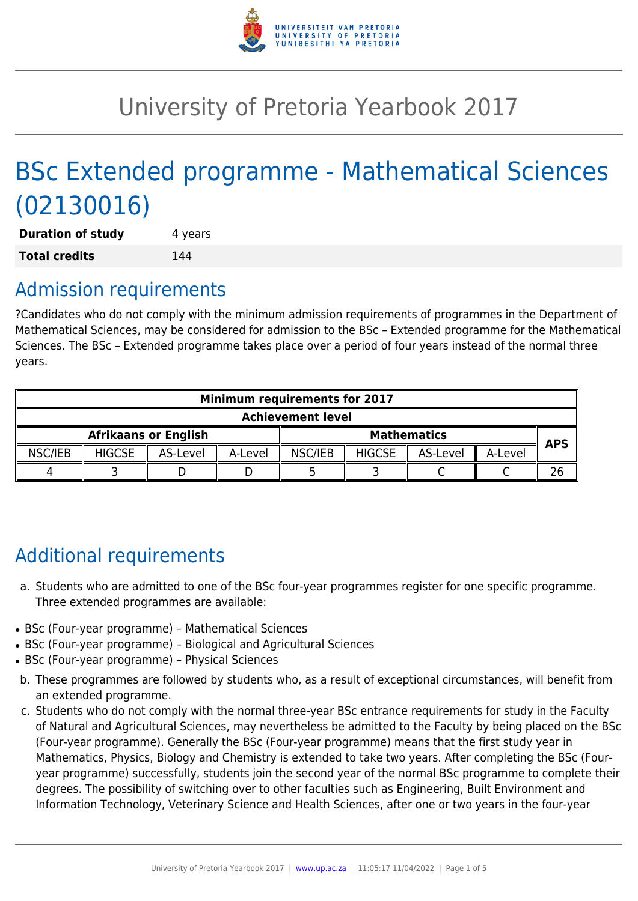

# University of Pretoria Yearbook 2017

# BSc Extended programme - Mathematical Sciences (02130016)

**Duration of study** 4 years **Total credits** 144

# Admission requirements

?Candidates who do not comply with the minimum admission requirements of programmes in the Department of Mathematical Sciences, may be considered for admission to the BSc – Extended programme for the Mathematical Sciences. The BSc – Extended programme takes place over a period of four years instead of the normal three years.

| <b>Minimum requirements for 2017</b> |               |          |         |                    |               |          |         |            |
|--------------------------------------|---------------|----------|---------|--------------------|---------------|----------|---------|------------|
| <b>Achievement level</b>             |               |          |         |                    |               |          |         |            |
| <b>Afrikaans or English</b>          |               |          |         | <b>Mathematics</b> |               |          |         | <b>APS</b> |
| NSC/IEB                              | <b>HIGCSE</b> | AS-Level | A-Level | NSC/IEB            | <b>HIGCSE</b> | AS-Level | A-Level |            |
|                                      |               |          |         |                    |               |          |         |            |

# Additional requirements

- a. Students who are admitted to one of the BSc four-year programmes register for one specific programme. Three extended programmes are available:
- BSc (Four-year programme) Mathematical Sciences
- BSc (Four-year programme) Biological and Agricultural Sciences
- BSc (Four-year programme) Physical Sciences
- b. These programmes are followed by students who, as a result of exceptional circumstances, will benefit from an extended programme.
- c. Students who do not comply with the normal three-year BSc entrance requirements for study in the Faculty of Natural and Agricultural Sciences, may nevertheless be admitted to the Faculty by being placed on the BSc (Four-year programme). Generally the BSc (Four-year programme) means that the first study year in Mathematics, Physics, Biology and Chemistry is extended to take two years. After completing the BSc (Fouryear programme) successfully, students join the second year of the normal BSc programme to complete their degrees. The possibility of switching over to other faculties such as Engineering, Built Environment and Information Technology, Veterinary Science and Health Sciences, after one or two years in the four-year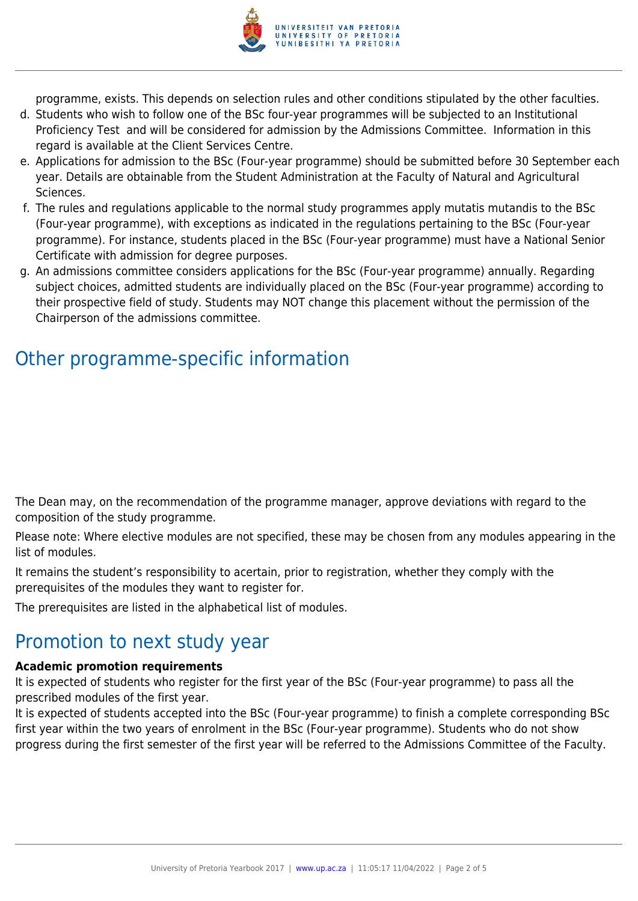

programme, exists. This depends on selection rules and other conditions stipulated by the other faculties.

- d. Students who wish to follow one of the BSc four-year programmes will be subjected to an Institutional Proficiency Test and will be considered for admission by the Admissions Committee. Information in this regard is available at the Client Services Centre.
- e. Applications for admission to the BSc (Four-year programme) should be submitted before 30 September each year. Details are obtainable from the Student Administration at the Faculty of Natural and Agricultural Sciences.
- f. The rules and regulations applicable to the normal study programmes apply mutatis mutandis to the BSc (Four-year programme), with exceptions as indicated in the regulations pertaining to the BSc (Four-year programme). For instance, students placed in the BSc (Four-year programme) must have a National Senior Certificate with admission for degree purposes.
- g. An admissions committee considers applications for the BSc (Four-year programme) annually. Regarding subject choices, admitted students are individually placed on the BSc (Four-year programme) according to their prospective field of study. Students may NOT change this placement without the permission of the Chairperson of the admissions committee.

# Other programme-specific information

The Dean may, on the recommendation of the programme manager, approve deviations with regard to the composition of the study programme.

Please note: Where elective modules are not specified, these may be chosen from any modules appearing in the list of modules.

It remains the student's responsibility to acertain, prior to registration, whether they comply with the prerequisites of the modules they want to register for.

The prerequisites are listed in the alphabetical list of modules.

# Promotion to next study year

### **Academic promotion requirements**

It is expected of students who register for the first year of the BSc (Four-year programme) to pass all the prescribed modules of the first year.

It is expected of students accepted into the BSc (Four-year programme) to finish a complete corresponding BSc first year within the two years of enrolment in the BSc (Four-year programme). Students who do not show progress during the first semester of the first year will be referred to the Admissions Committee of the Faculty.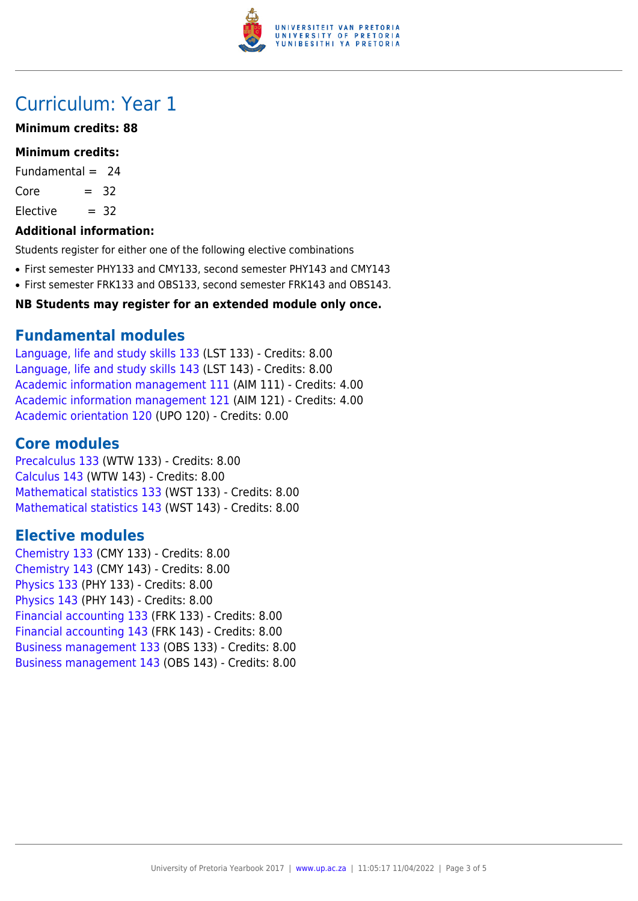

# Curriculum: Year 1

### **Minimum credits: 88**

### **Minimum credits:**

Fundamental  $= 24$ 

 $Core = 32$ 

 $Electric = 32$ 

### **Additional information:**

Students register for either one of the following elective combinations

- First semester PHY133 and CMY133, second semester PHY143 and CMY143
- First semester FRK133 and OBS133, second semester FRK143 and OBS143.

### **NB Students may register for an extended module only once.**

## **Fundamental modules**

[Language, life and study skills 133](https://www.up.ac.za/yearbooks/2017/modules/view/LST 133) (LST 133) - Credits: 8.00 [Language, life and study skills 143](https://www.up.ac.za/yearbooks/2017/modules/view/LST 143) (LST 143) - Credits: 8.00 [Academic information management 111](https://www.up.ac.za/yearbooks/2017/modules/view/AIM 111) (AIM 111) - Credits: 4.00 [Academic information management 121](https://www.up.ac.za/yearbooks/2017/modules/view/AIM 121) (AIM 121) - Credits: 4.00 [Academic orientation 120](https://www.up.ac.za/yearbooks/2017/modules/view/UPO 120) (UPO 120) - Credits: 0.00

# **Core modules**

[Precalculus 133](https://www.up.ac.za/yearbooks/2017/modules/view/WTW 133) (WTW 133) - Credits: 8.00 [Calculus 143](https://www.up.ac.za/yearbooks/2017/modules/view/WTW 143) (WTW 143) - Credits: 8.00 [Mathematical statistics 133](https://www.up.ac.za/yearbooks/2017/modules/view/WST 133) (WST 133) - Credits: 8.00 [Mathematical statistics 143](https://www.up.ac.za/yearbooks/2017/modules/view/WST 143) (WST 143) - Credits: 8.00

# **Elective modules**

[Chemistry 133](https://www.up.ac.za/yearbooks/2017/modules/view/CMY 133) (CMY 133) - Credits: 8.00 [Chemistry 143](https://www.up.ac.za/yearbooks/2017/modules/view/CMY 143) (CMY 143) - Credits: 8.00 [Physics 133](https://www.up.ac.za/yearbooks/2017/modules/view/PHY 133) (PHY 133) - Credits: 8.00 [Physics 143](https://www.up.ac.za/yearbooks/2017/modules/view/PHY 143) (PHY 143) - Credits: 8.00 [Financial accounting 133](https://www.up.ac.za/yearbooks/2017/modules/view/FRK 133) (FRK 133) - Credits: 8.00 [Financial accounting 143](https://www.up.ac.za/yearbooks/2017/modules/view/FRK 143) (FRK 143) - Credits: 8.00 [Business management 133](https://www.up.ac.za/yearbooks/2017/modules/view/OBS 133) (OBS 133) - Credits: 8.00 [Business management 143](https://www.up.ac.za/yearbooks/2017/modules/view/OBS 143) (OBS 143) - Credits: 8.00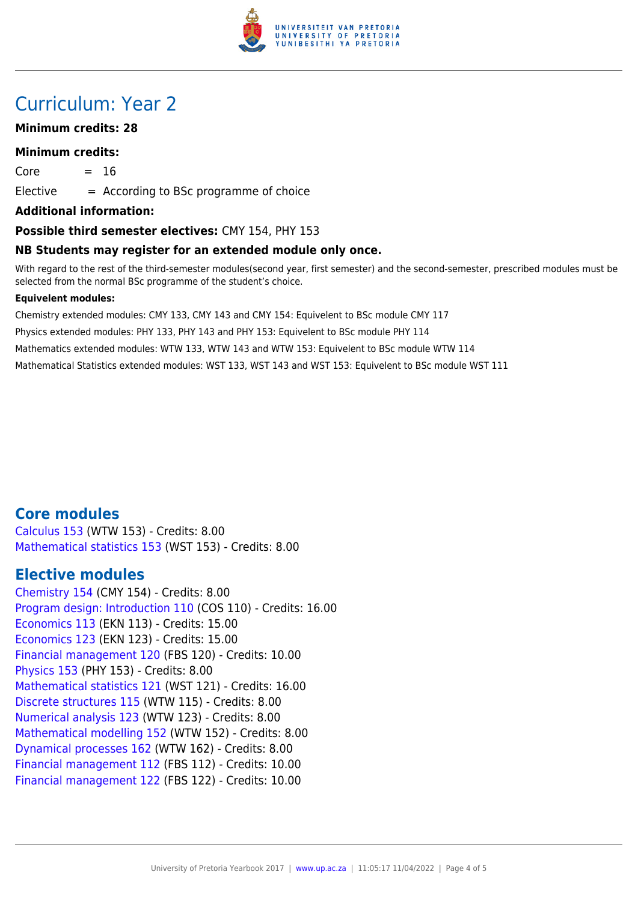

# Curriculum: Year 2

### **Minimum credits: 28**

#### **Minimum credits:**

 $Core = 16$ 

 $E$ lective  $=$  According to BSc programme of choice

**Additional information:**

#### **Possible third semester electives:** CMY 154, PHY 153

#### **NB Students may register for an extended module only once.**

With regard to the rest of the third-semester modules(second year, first semester) and the second-semester, prescribed modules must be selected from the normal BSc programme of the student's choice.

#### **Equivelent modules:**

Chemistry extended modules: CMY 133, CMY 143 and CMY 154: Equivelent to BSc module CMY 117 Physics extended modules: PHY 133, PHY 143 and PHY 153: Equivelent to BSc module PHY 114 Mathematics extended modules: WTW 133, WTW 143 and WTW 153: Equivelent to BSc module WTW 114 Mathematical Statistics extended modules: WST 133, WST 143 and WST 153: Equivelent to BSc module WST 111

## **Core modules**

[Calculus 153](https://www.up.ac.za/yearbooks/2017/modules/view/WTW 153) (WTW 153) - Credits: 8.00 [Mathematical statistics 153](https://www.up.ac.za/yearbooks/2017/modules/view/WST 153) (WST 153) - Credits: 8.00

## **Elective modules**

[Chemistry 154](https://www.up.ac.za/yearbooks/2017/modules/view/CMY 154) (CMY 154) - Credits: 8.00 [Program design: Introduction 110](https://www.up.ac.za/yearbooks/2017/modules/view/COS 110) (COS 110) - Credits: 16.00 [Economics 113](https://www.up.ac.za/yearbooks/2017/modules/view/EKN 113) (EKN 113) - Credits: 15.00 [Economics 123](https://www.up.ac.za/yearbooks/2017/modules/view/EKN 123) (EKN 123) - Credits: 15.00 [Financial management 120](https://www.up.ac.za/yearbooks/2017/modules/view/FBS 120) (FBS 120) - Credits: 10.00 [Physics 153](https://www.up.ac.za/yearbooks/2017/modules/view/PHY 153) (PHY 153) - Credits: 8.00 [Mathematical statistics 121](https://www.up.ac.za/yearbooks/2017/modules/view/WST 121) (WST 121) - Credits: 16.00 [Discrete structures 115](https://www.up.ac.za/yearbooks/2017/modules/view/WTW 115) (WTW 115) - Credits: 8.00 [Numerical analysis 123](https://www.up.ac.za/yearbooks/2017/modules/view/WTW 123) (WTW 123) - Credits: 8.00 [Mathematical modelling 152](https://www.up.ac.za/yearbooks/2017/modules/view/WTW 152) (WTW 152) - Credits: 8.00 [Dynamical processes 162](https://www.up.ac.za/yearbooks/2017/modules/view/WTW 162) (WTW 162) - Credits: 8.00 [Financial management 112](https://www.up.ac.za/yearbooks/2017/modules/view/FBS 112) (FBS 112) - Credits: 10.00 [Financial management 122](https://www.up.ac.za/yearbooks/2017/modules/view/FBS 122) (FBS 122) - Credits: 10.00